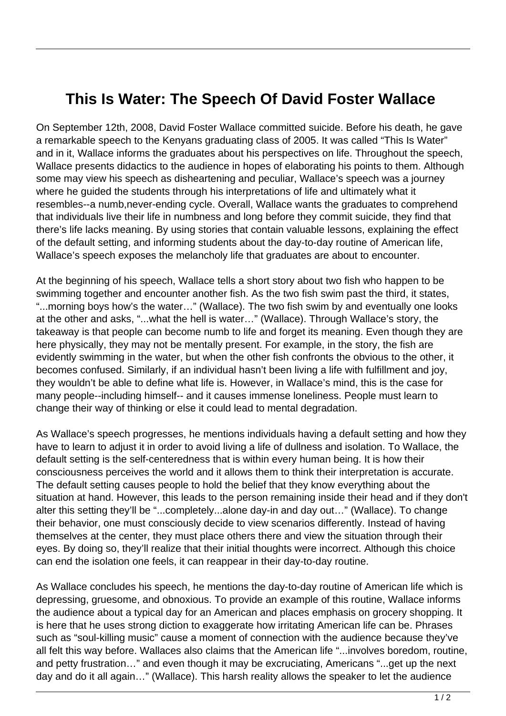## **This Is Water: The Speech Of David Foster Wallace**

On September 12th, 2008, David Foster Wallace committed suicide. Before his death, he gave a remarkable speech to the Kenyans graduating class of 2005. It was called "This Is Water" and in it, Wallace informs the graduates about his perspectives on life. Throughout the speech, Wallace presents didactics to the audience in hopes of elaborating his points to them. Although some may view his speech as disheartening and peculiar, Wallace's speech was a journey where he guided the students through his interpretations of life and ultimately what it resembles--a numb,never-ending cycle. Overall, Wallace wants the graduates to comprehend that individuals live their life in numbness and long before they commit suicide, they find that there's life lacks meaning. By using stories that contain valuable lessons, explaining the effect of the default setting, and informing students about the day-to-day routine of American life, Wallace's speech exposes the melancholy life that graduates are about to encounter.

At the beginning of his speech, Wallace tells a short story about two fish who happen to be swimming together and encounter another fish. As the two fish swim past the third, it states, "...morning boys how's the water…" (Wallace). The two fish swim by and eventually one looks at the other and asks, "...what the hell is water…" (Wallace). Through Wallace's story, the takeaway is that people can become numb to life and forget its meaning. Even though they are here physically, they may not be mentally present. For example, in the story, the fish are evidently swimming in the water, but when the other fish confronts the obvious to the other, it becomes confused. Similarly, if an individual hasn't been living a life with fulfillment and joy, they wouldn't be able to define what life is. However, in Wallace's mind, this is the case for many people--including himself-- and it causes immense loneliness. People must learn to change their way of thinking or else it could lead to mental degradation.

As Wallace's speech progresses, he mentions individuals having a default setting and how they have to learn to adjust it in order to avoid living a life of dullness and isolation. To Wallace, the default setting is the self-centeredness that is within every human being. It is how their consciousness perceives the world and it allows them to think their interpretation is accurate. The default setting causes people to hold the belief that they know everything about the situation at hand. However, this leads to the person remaining inside their head and if they don't alter this setting they'll be "...completely...alone day-in and day out…" (Wallace). To change their behavior, one must consciously decide to view scenarios differently. Instead of having themselves at the center, they must place others there and view the situation through their eyes. By doing so, they'll realize that their initial thoughts were incorrect. Although this choice can end the isolation one feels, it can reappear in their day-to-day routine.

As Wallace concludes his speech, he mentions the day-to-day routine of American life which is depressing, gruesome, and obnoxious. To provide an example of this routine, Wallace informs the audience about a typical day for an American and places emphasis on grocery shopping. It is here that he uses strong diction to exaggerate how irritating American life can be. Phrases such as "soul-killing music" cause a moment of connection with the audience because they've all felt this way before. Wallaces also claims that the American life "...involves boredom, routine, and petty frustration…" and even though it may be excruciating, Americans "...get up the next day and do it all again…" (Wallace). This harsh reality allows the speaker to let the audience